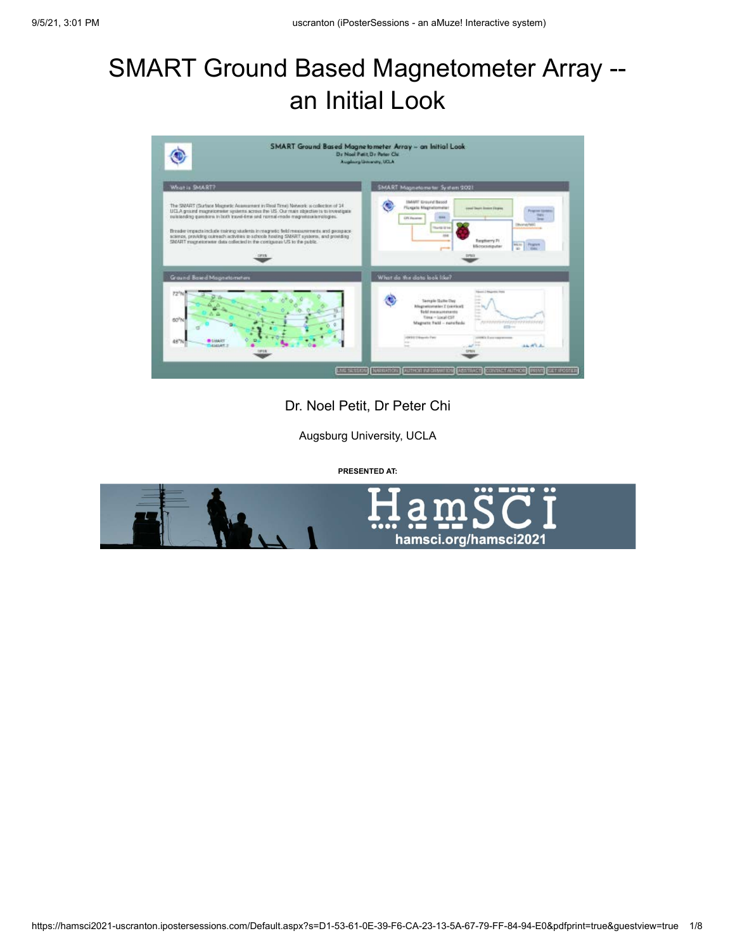# SMART Ground Based Magnetometer Array - an Initial Look



Dr. Noel Petit, Dr Peter Chi

Augsburg University, UCLA

**PRESENTED AT:**

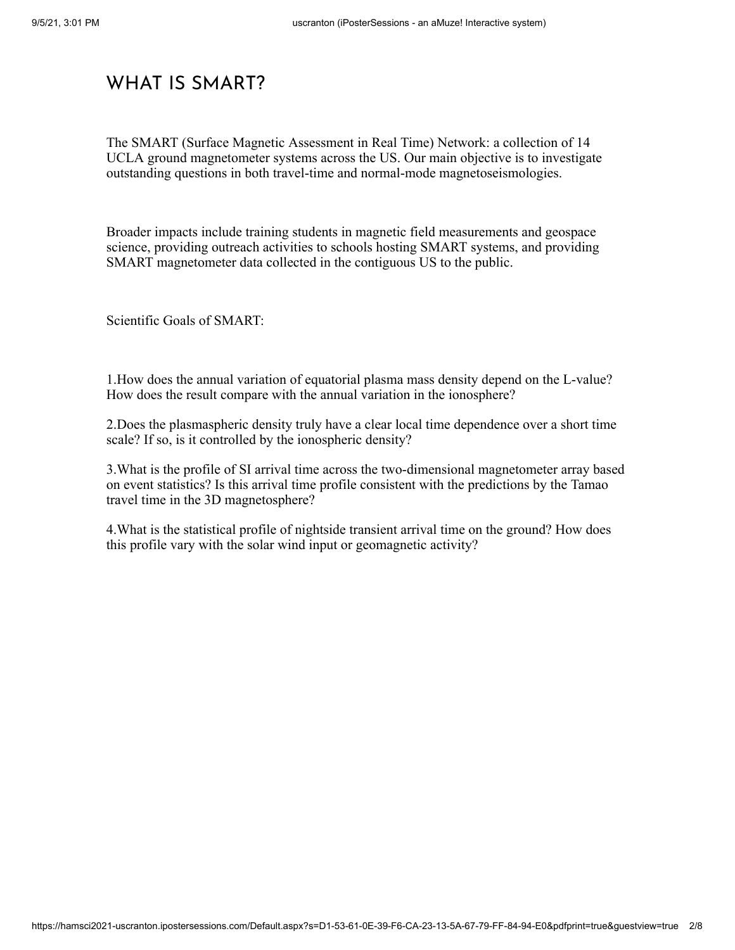## WHAT IS SMART?

The SMART (Surface Magnetic Assessment in Real Time) Network: a collection of 14 UCLA ground magnetometer systems across the US. Our main objective is to investigate outstanding questions in both travel-time and normal-mode magnetoseismologies.

Broader impacts include training students in magnetic field measurements and geospace science, providing outreach activities to schools hosting SMART systems, and providing SMART magnetometer data collected in the contiguous US to the public.

Scientific Goals of SMART:

1.How does the annual variation of equatorial plasma mass density depend on the L-value? How does the result compare with the annual variation in the ionosphere?

2.Does the plasmaspheric density truly have a clear local time dependence over a short time scale? If so, is it controlled by the ionospheric density?

3.What is the profile of SI arrival time across the two-dimensional magnetometer array based on event statistics? Is this arrival time profile consistent with the predictions by the Tamao travel time in the 3D magnetosphere?

4.What is the statistical profile of nightside transient arrival time on the ground? How does this profile vary with the solar wind input or geomagnetic activity?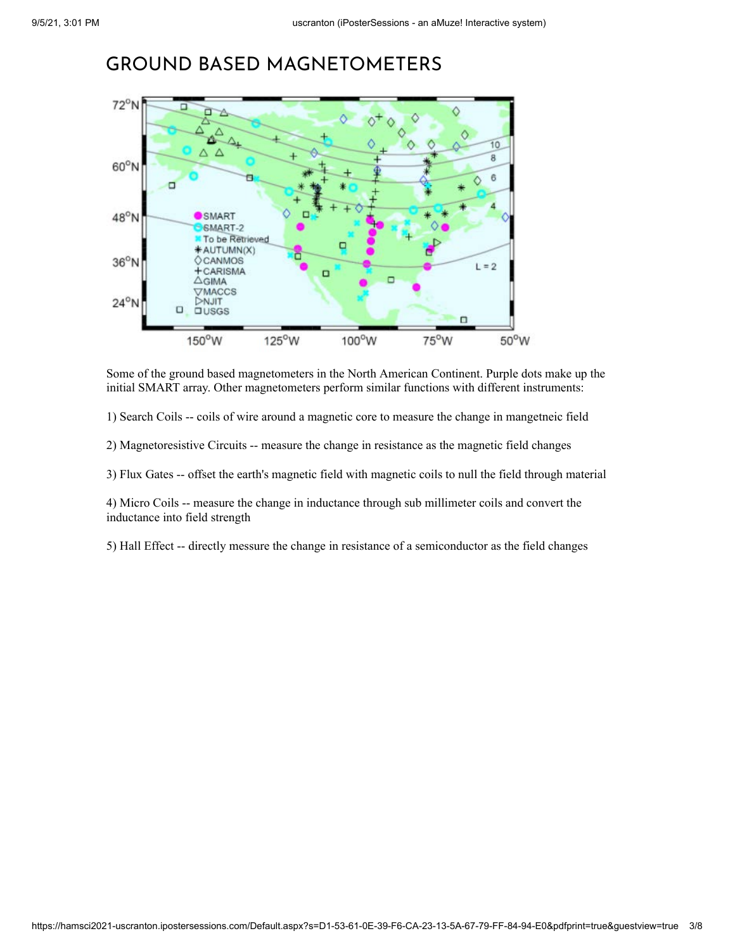#### GROUND BASED MAGNETOMETERS



Some of the ground based magnetometers in the North American Continent. Purple dots make up the initial SMART array. Other magnetometers perform similar functions with different instruments:

1) Search Coils -- coils of wire around a magnetic core to measure the change in mangetneic field

2) Magnetoresistive Circuits -- measure the change in resistance as the magnetic field changes

3) Flux Gates -- offset the earth's magnetic field with magnetic coils to null the field through material

4) Micro Coils -- measure the change in inductance through sub millimeter coils and convert the inductance into field strength

5) Hall Effect -- directly messure the change in resistance of a semiconductor as the field changes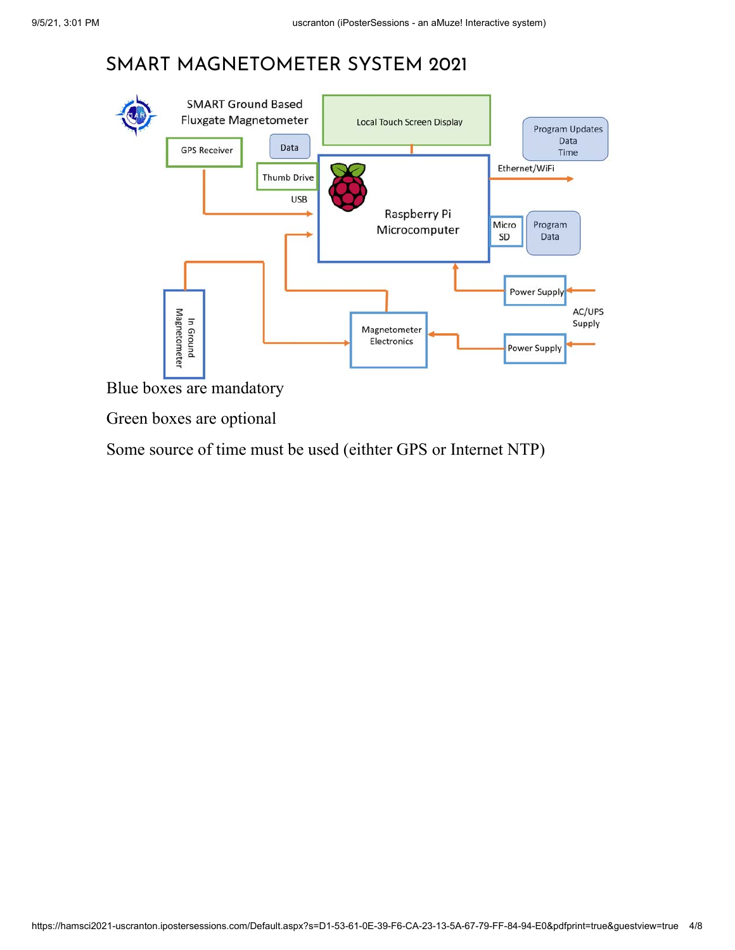# SMART MAGNETOMETER SYSTEM 2021



Blue boxes are mandatory

Green boxes are optional

Some source of time must be used (eithter GPS or Internet NTP)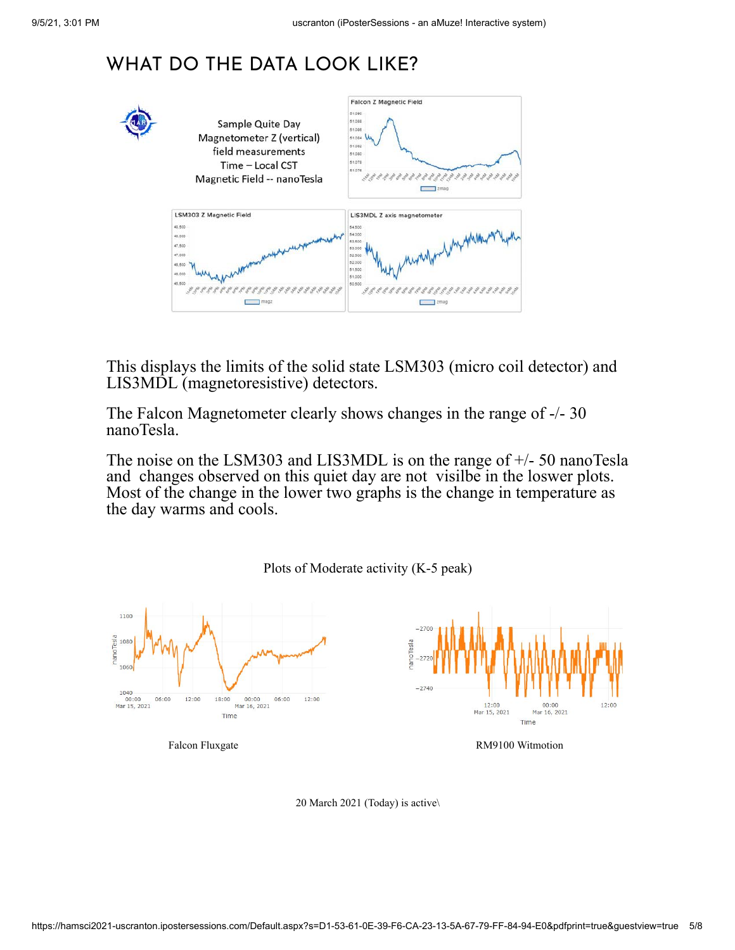# WHAT DO THE DATA LOOK LIKE?



This displays the limits of the solid state LSM303 (micro coil detector) and LIS3MDL (magnetoresistive) detectors.

The Falcon Magnetometer clearly shows changes in the range of -/- 30 nanoTesla.

The noise on the LSM303 and LIS3MDL is on the range of +/- 50 nanoTesla and changes observed on this quiet day are not visilbe in the loswer plots. Most of the change in the lower two graphs is the change in temperature as the day warms and cools.



Plots of Moderate activity (K-5 peak)

20 March 2021 (Today) is active\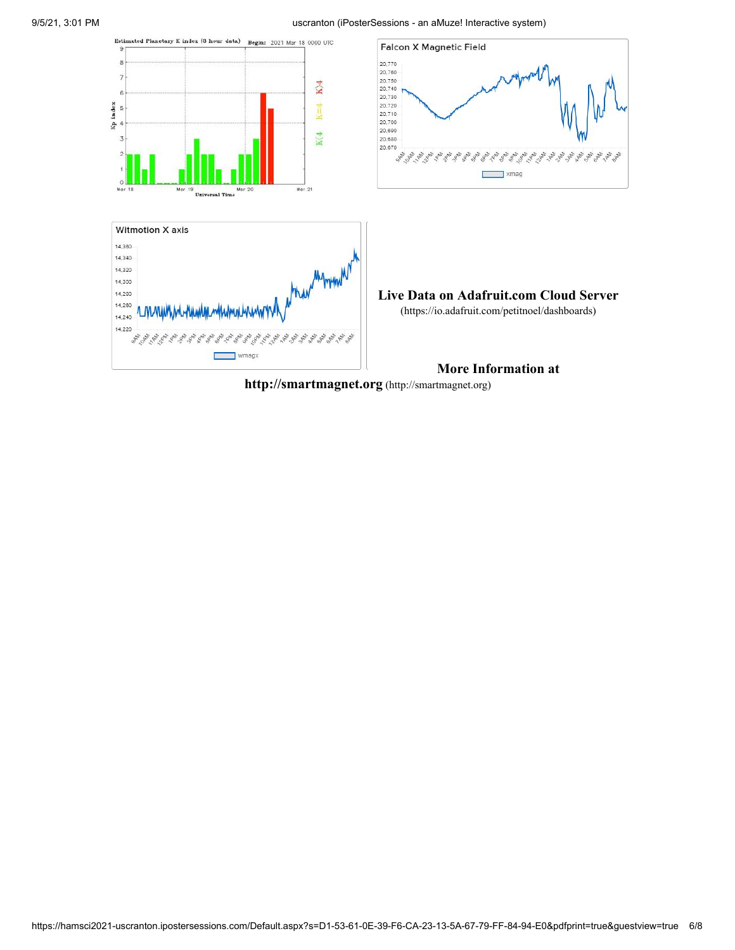#### 9/5/21, 3:01 PM uscranton (iPosterSessions - an aMuze! Interactive system)



**[http://smartmagnet.org](http://smartmagnet.org/)** (http://smartmagnet.org)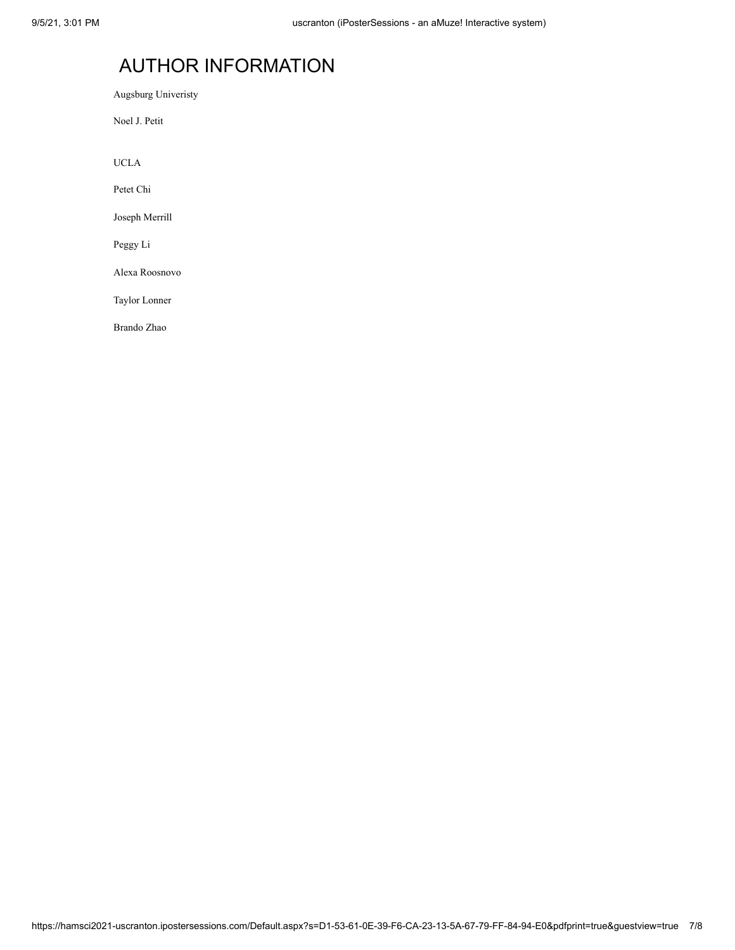# AUTHOR INFORMATION

Augsburg Univeristy

Noel J. Petit

UCLA

Petet Chi

Joseph Merrill

Peggy Li

Alexa Roosnovo

Taylor Lonner

Brando Zhao